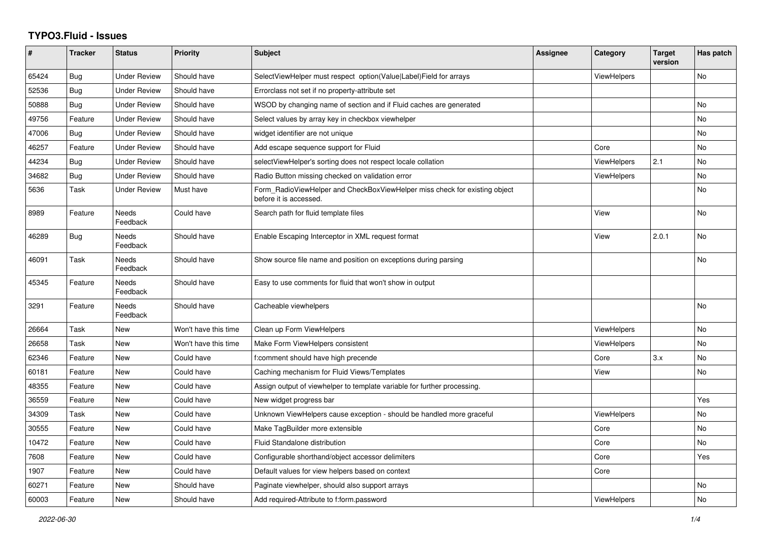## **TYPO3.Fluid - Issues**

| #     | Tracker    | <b>Status</b>            | <b>Priority</b>      | Subject                                                                                              | Assignee | Category           | <b>Target</b><br>version | Has patch |
|-------|------------|--------------------------|----------------------|------------------------------------------------------------------------------------------------------|----------|--------------------|--------------------------|-----------|
| 65424 | <b>Bug</b> | <b>Under Review</b>      | Should have          | SelectViewHelper must respect option(Value Label)Field for arrays                                    |          | <b>ViewHelpers</b> |                          | <b>No</b> |
| 52536 | Bug        | <b>Under Review</b>      | Should have          | Errorclass not set if no property-attribute set                                                      |          |                    |                          |           |
| 50888 | Bug        | <b>Under Review</b>      | Should have          | WSOD by changing name of section and if Fluid caches are generated                                   |          |                    |                          | No        |
| 49756 | Feature    | <b>Under Review</b>      | Should have          | Select values by array key in checkbox viewhelper                                                    |          |                    |                          | <b>No</b> |
| 47006 | Bug        | <b>Under Review</b>      | Should have          | widget identifier are not unique                                                                     |          |                    |                          | No        |
| 46257 | Feature    | <b>Under Review</b>      | Should have          | Add escape sequence support for Fluid                                                                |          | Core               |                          | No        |
| 44234 | <b>Bug</b> | <b>Under Review</b>      | Should have          | selectViewHelper's sorting does not respect locale collation                                         |          | ViewHelpers        | 2.1                      | No        |
| 34682 | Bug        | <b>Under Review</b>      | Should have          | Radio Button missing checked on validation error                                                     |          | ViewHelpers        |                          | <b>No</b> |
| 5636  | Task       | <b>Under Review</b>      | Must have            | Form RadioViewHelper and CheckBoxViewHelper miss check for existing object<br>before it is accessed. |          |                    |                          | No        |
| 8989  | Feature    | Needs<br>Feedback        | Could have           | Search path for fluid template files                                                                 |          | View               |                          | <b>No</b> |
| 46289 | Bug        | <b>Needs</b><br>Feedback | Should have          | Enable Escaping Interceptor in XML request format                                                    |          | View               | 2.0.1                    | <b>No</b> |
| 46091 | Task       | Needs<br>Feedback        | Should have          | Show source file name and position on exceptions during parsing                                      |          |                    |                          | No        |
| 45345 | Feature    | Needs<br>Feedback        | Should have          | Easy to use comments for fluid that won't show in output                                             |          |                    |                          |           |
| 3291  | Feature    | <b>Needs</b><br>Feedback | Should have          | Cacheable viewhelpers                                                                                |          |                    |                          | <b>No</b> |
| 26664 | Task       | <b>New</b>               | Won't have this time | Clean up Form ViewHelpers                                                                            |          | ViewHelpers        |                          | <b>No</b> |
| 26658 | Task       | New                      | Won't have this time | Make Form ViewHelpers consistent                                                                     |          | ViewHelpers        |                          | <b>No</b> |
| 62346 | Feature    | New                      | Could have           | f:comment should have high precende                                                                  |          | Core               | 3.x                      | <b>No</b> |
| 60181 | Feature    | <b>New</b>               | Could have           | Caching mechanism for Fluid Views/Templates                                                          |          | View               |                          | No        |
| 48355 | Feature    | New                      | Could have           | Assign output of viewhelper to template variable for further processing.                             |          |                    |                          |           |
| 36559 | Feature    | New                      | Could have           | New widget progress bar                                                                              |          |                    |                          | Yes       |
| 34309 | Task       | New                      | Could have           | Unknown ViewHelpers cause exception - should be handled more graceful                                |          | <b>ViewHelpers</b> |                          | <b>No</b> |
| 30555 | Feature    | New                      | Could have           | Make TagBuilder more extensible                                                                      |          | Core               |                          | <b>No</b> |
| 10472 | Feature    | <b>New</b>               | Could have           | Fluid Standalone distribution                                                                        |          | Core               |                          | No        |
| 7608  | Feature    | New                      | Could have           | Configurable shorthand/object accessor delimiters                                                    |          | Core               |                          | Yes       |
| 1907  | Feature    | New                      | Could have           | Default values for view helpers based on context                                                     |          | Core               |                          |           |
| 60271 | Feature    | New                      | Should have          | Paginate viewhelper, should also support arrays                                                      |          |                    |                          | No        |
| 60003 | Feature    | New                      | Should have          | Add required-Attribute to f:form.password                                                            |          | ViewHelpers        |                          | No        |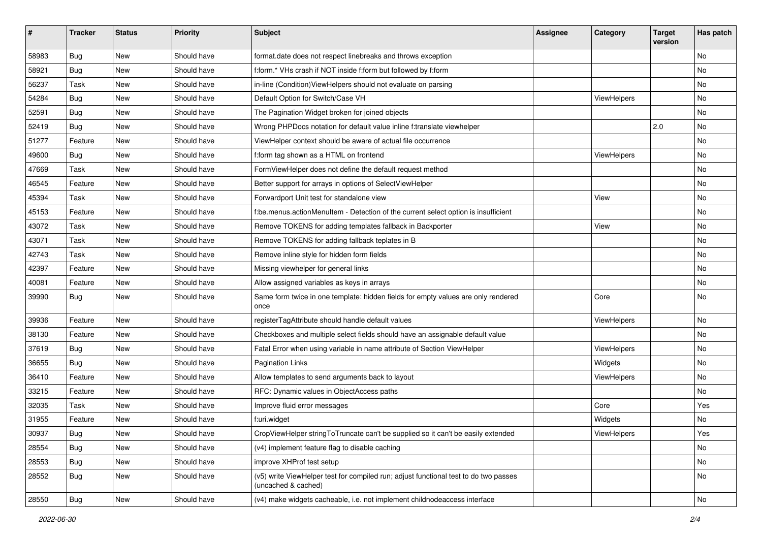| #     | <b>Tracker</b> | <b>Status</b> | <b>Priority</b> | <b>Subject</b>                                                                                              | <b>Assignee</b> | Category    | <b>Target</b><br>version | Has patch |
|-------|----------------|---------------|-----------------|-------------------------------------------------------------------------------------------------------------|-----------------|-------------|--------------------------|-----------|
| 58983 | Bug            | New           | Should have     | format.date does not respect linebreaks and throws exception                                                |                 |             |                          | <b>No</b> |
| 58921 | Bug            | New           | Should have     | f:form.* VHs crash if NOT inside f:form but followed by f:form                                              |                 |             |                          | No        |
| 56237 | Task           | New           | Should have     | in-line (Condition) View Helpers should not evaluate on parsing                                             |                 |             |                          | No        |
| 54284 | Bug            | New           | Should have     | Default Option for Switch/Case VH                                                                           |                 | ViewHelpers |                          | No        |
| 52591 | Bug            | New           | Should have     | The Pagination Widget broken for joined objects                                                             |                 |             |                          | No        |
| 52419 | Bug            | New           | Should have     | Wrong PHPDocs notation for default value inline f:translate viewhelper                                      |                 |             | 2.0                      | No        |
| 51277 | Feature        | New           | Should have     | ViewHelper context should be aware of actual file occurrence                                                |                 |             |                          | No        |
| 49600 | Bug            | New           | Should have     | f:form tag shown as a HTML on frontend                                                                      |                 | ViewHelpers |                          | No        |
| 47669 | Task           | New           | Should have     | FormViewHelper does not define the default request method                                                   |                 |             |                          | <b>No</b> |
| 46545 | Feature        | New           | Should have     | Better support for arrays in options of SelectViewHelper                                                    |                 |             |                          | No        |
| 45394 | Task           | New           | Should have     | Forwardport Unit test for standalone view                                                                   |                 | View        |                          | <b>No</b> |
| 45153 | Feature        | New           | Should have     | f:be.menus.actionMenuItem - Detection of the current select option is insufficient                          |                 |             |                          | No        |
| 43072 | Task           | New           | Should have     | Remove TOKENS for adding templates fallback in Backporter                                                   |                 | View        |                          | No        |
| 43071 | Task           | New           | Should have     | Remove TOKENS for adding fallback teplates in B                                                             |                 |             |                          | No        |
| 42743 | Task           | New           | Should have     | Remove inline style for hidden form fields                                                                  |                 |             |                          | No        |
| 42397 | Feature        | New           | Should have     | Missing viewhelper for general links                                                                        |                 |             |                          | No        |
| 40081 | Feature        | New           | Should have     | Allow assigned variables as keys in arrays                                                                  |                 |             |                          | No        |
| 39990 | Bug            | New           | Should have     | Same form twice in one template: hidden fields for empty values are only rendered<br>once                   |                 | Core        |                          | No        |
| 39936 | Feature        | New           | Should have     | registerTagAttribute should handle default values                                                           |                 | ViewHelpers |                          | No        |
| 38130 | Feature        | New           | Should have     | Checkboxes and multiple select fields should have an assignable default value                               |                 |             |                          | No        |
| 37619 | Bug            | New           | Should have     | Fatal Error when using variable in name attribute of Section ViewHelper                                     |                 | ViewHelpers |                          | No        |
| 36655 | Bug            | New           | Should have     | <b>Pagination Links</b>                                                                                     |                 | Widgets     |                          | No        |
| 36410 | Feature        | New           | Should have     | Allow templates to send arguments back to layout                                                            |                 | ViewHelpers |                          | No        |
| 33215 | Feature        | New           | Should have     | RFC: Dynamic values in ObjectAccess paths                                                                   |                 |             |                          | No        |
| 32035 | Task           | New           | Should have     | Improve fluid error messages                                                                                |                 | Core        |                          | Yes       |
| 31955 | Feature        | New           | Should have     | f:uri.widget                                                                                                |                 | Widgets     |                          | No        |
| 30937 | Bug            | New           | Should have     | CropViewHelper stringToTruncate can't be supplied so it can't be easily extended                            |                 | ViewHelpers |                          | Yes       |
| 28554 | Bug            | New           | Should have     | (v4) implement feature flag to disable caching                                                              |                 |             |                          | No        |
| 28553 | Bug            | New           | Should have     | improve XHProf test setup                                                                                   |                 |             |                          | No        |
| 28552 | Bug            | New           | Should have     | (v5) write ViewHelper test for compiled run; adjust functional test to do two passes<br>(uncached & cached) |                 |             |                          | No        |
| 28550 | <b>Bug</b>     | New           | Should have     | (v4) make widgets cacheable, i.e. not implement childnodeaccess interface                                   |                 |             |                          | No        |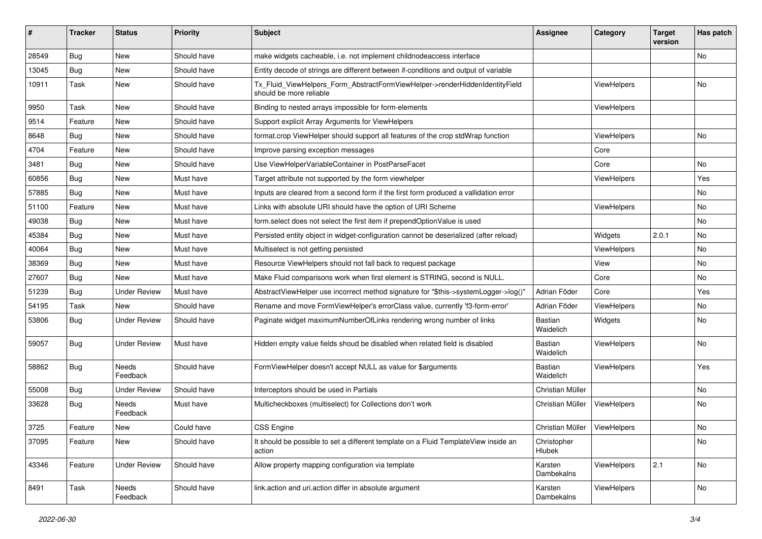| ∦     | <b>Tracker</b> | <b>Status</b>       | <b>Priority</b> | <b>Subject</b>                                                                                         | <b>Assignee</b>       | Category           | <b>Target</b><br>version | Has patch |
|-------|----------------|---------------------|-----------------|--------------------------------------------------------------------------------------------------------|-----------------------|--------------------|--------------------------|-----------|
| 28549 | Bug            | New                 | Should have     | make widgets cacheable, i.e. not implement childnodeaccess interface                                   |                       |                    |                          | <b>No</b> |
| 13045 | <b>Bug</b>     | New                 | Should have     | Entity decode of strings are different between if-conditions and output of variable                    |                       |                    |                          |           |
| 10911 | Task           | New                 | Should have     | Tx_Fluid_ViewHelpers_Form_AbstractFormViewHelper->renderHiddenIdentityField<br>should be more reliable |                       | ViewHelpers        |                          | No        |
| 9950  | Task           | New                 | Should have     | Binding to nested arrays impossible for form-elements                                                  |                       | <b>ViewHelpers</b> |                          |           |
| 9514  | Feature        | New                 | Should have     | Support explicit Array Arguments for ViewHelpers                                                       |                       |                    |                          |           |
| 8648  | <b>Bug</b>     | New                 | Should have     | format.crop ViewHelper should support all features of the crop stdWrap function                        |                       | ViewHelpers        |                          | No        |
| 4704  | Feature        | New                 | Should have     | Improve parsing exception messages                                                                     |                       | Core               |                          |           |
| 3481  | Bug            | New                 | Should have     | Use ViewHelperVariableContainer in PostParseFacet                                                      |                       | Core               |                          | No        |
| 60856 | <b>Bug</b>     | New                 | Must have       | Target attribute not supported by the form viewhelper                                                  |                       | ViewHelpers        |                          | Yes       |
| 57885 | <b>Bug</b>     | New                 | Must have       | Inputs are cleared from a second form if the first form produced a vallidation error                   |                       |                    |                          | No        |
| 51100 | Feature        | New                 | Must have       | Links with absolute URI should have the option of URI Scheme                                           |                       | ViewHelpers        |                          | No        |
| 49038 | <b>Bug</b>     | New                 | Must have       | form.select does not select the first item if prependOptionValue is used                               |                       |                    |                          | No        |
| 45384 | Bug            | New                 | Must have       | Persisted entity object in widget-configuration cannot be deserialized (after reload)                  |                       | Widgets            | 2.0.1                    | No        |
| 40064 | Bug            | New                 | Must have       | Multiselect is not getting persisted                                                                   |                       | ViewHelpers        |                          | No        |
| 38369 | Bug            | New                 | Must have       | Resource ViewHelpers should not fall back to request package                                           |                       | View               |                          | No        |
| 27607 | Bug            | <b>New</b>          | Must have       | Make Fluid comparisons work when first element is STRING, second is NULL.                              |                       | Core               |                          | No        |
| 51239 | Bug            | <b>Under Review</b> | Must have       | AbstractViewHelper use incorrect method signature for "\$this->systemLogger->log()"                    | Adrian Föder          | Core               |                          | Yes       |
| 54195 | Task           | New                 | Should have     | Rename and move FormViewHelper's errorClass value, currently 'f3-form-error'                           | Adrian Föder          | ViewHelpers        |                          | No.       |
| 53806 | Bug            | <b>Under Review</b> | Should have     | Paginate widget maximumNumberOfLinks rendering wrong number of links                                   | Bastian<br>Waidelich  | Widgets            |                          | No        |
| 59057 | Bug            | <b>Under Review</b> | Must have       | Hidden empty value fields shoud be disabled when related field is disabled                             | Bastian<br>Waidelich  | ViewHelpers        |                          | No        |
| 58862 | Bug            | Needs<br>Feedback   | Should have     | FormViewHelper doesn't accept NULL as value for \$arguments                                            | Bastian<br>Waidelich  | ViewHelpers        |                          | Yes       |
| 55008 | Bug            | <b>Under Review</b> | Should have     | Interceptors should be used in Partials                                                                | Christian Müller      |                    |                          | No        |
| 33628 | Bug            | Needs<br>Feedback   | Must have       | Multicheckboxes (multiselect) for Collections don't work                                               | Christian Müller      | ViewHelpers        |                          | No        |
| 3725  | Feature        | New                 | Could have      | <b>CSS Engine</b>                                                                                      | Christian Müller      | ViewHelpers        |                          | No        |
| 37095 | Feature        | New                 | Should have     | It should be possible to set a different template on a Fluid TemplateView inside an<br>action          | Christopher<br>Hlubek |                    |                          | No        |
| 43346 | Feature        | <b>Under Review</b> | Should have     | Allow property mapping configuration via template                                                      | Karsten<br>Dambekalns | ViewHelpers        | 2.1                      | No        |
| 8491  | Task           | Needs<br>Feedback   | Should have     | link.action and uri.action differ in absolute argument                                                 | Karsten<br>Dambekalns | ViewHelpers        |                          | No        |